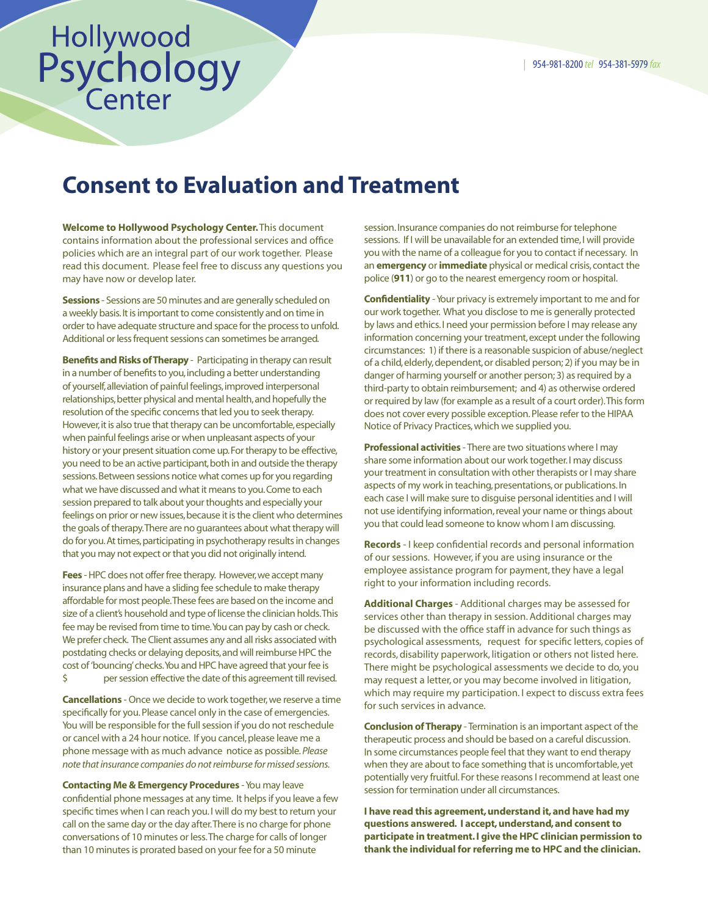## Hollywood<br>Psychology<br>Center

## Consent to Evaluation and Treatment

Welcome to Hollywood Psychology Center. This document contains information about the professional services and office policies which are an integral part of our work together. Please read this document. Please feel free to discuss any questions you may have now or develop later.

Sessions - Sessions are 50 minutes and are generally scheduled on a weekly basis. It is important to come consistently and on time in order to have adequate structure and space for the process to unfold. Additional or less frequent sessions can sometimes be arranged.

**Benefits and Risks of Therapy** - Participating in therapy can result in a number of benefits to you, including a better understanding of yourself, alleviation of painful feelings, improved interpersonal relationships, better physical and mental health, and hopefully the resolution of the specific concerns that led you to seek therapy. However, it is also true that therapy can be uncomfortable, especially when painful feelings arise or when unpleasant aspects of your history or your present situation come up. For therapy to be effective, you need to be an active participant, both in and outside the therapy sessions. Between sessions notice what comes up for you regarding what we have discussed and what it means to you. Come to each session prepared to talk about your thoughts and especially your feelings on prior or new issues, because it is the client who determines the goals of therapy. There are no guarantees about what therapy will do for you. At times, participating in psychotherapy results in changes that you may not expect or that you did not originally intend.

Fees - HPC does not offer free therapy. However, we accept many insurance plans and have a sliding fee schedule to make therapy affordable for most people. These fees are based on the income and size of a client's household and type of license the clinician holds. This fee may be revised from time to time. You can pay by cash or check. We prefer check. The Client assumes any and all risks associated with postdating checks or delaying deposits, and will reimburse HPC the cost of 'bouncing' checks. You and HPC have agreed that your fee is \$ per session effective the date of this agreement till revised.

Cancellations - Once we decide to work together, we reserve a time specifically for you. Please cancel only in the case of emergencies. You will be responsible for the full session if you do not reschedule or cancel with a 24 hour notice. If you cancel, please leave me a phone message with as much advance notice as possible. *Please note that insurance companies do not reimburse for missed sessions.*

Contacting Me & Emergency Procedures - You may leave confidential phone messages at any time. It helps if you leave a few specific times when I can reach you. I will do my best to return your call on the same day or the day after. There is no charge for phone conversations of 10 minutes or less. The charge for calls of longer than 10 minutes is prorated based on your fee for a 50 minute

session. Insurance companies do not reimburse for telephone sessions. If I will be unavailable for an extended time, I will provide you with the name of a colleague for you to contact if necessary. In an **emergency** or *immediate* physical or medical crisis, contact the police (911) or go to the nearest emergency room or hospital.

Confidentiality - Your privacy is extremely important to me and for our work together. What you disclose to me is generally protected by laws and ethics. I need your permission before I may release any information concerning your treatment, except under the following circumstances: 1) if there is a reasonable suspicion of abuse/neglect of a child, elderly, dependent, or disabled person; 2) if you may be in danger of harming yourself or another person; 3) as required by a third-party to obtain reimbursement; and 4) as otherwise ordered or required by law (for example as a result of a court order). This form does not cover every possible exception. Please refer to the HIPAA Notice of Privacy Practices, which we supplied you.

**Professional activities** - There are two situations where I may share some information about our work together. I may discuss your treatment in consultation with other therapists or I may share aspects of my work in teaching, presentations, or publications. In each case I will make sure to disguise personal identities and I will not use identifying information, reveal your name or things about you that could lead someone to know whom I am discussing.

Records - I keep confidential records and personal information of our sessions. However, if you are using insurance or the employee assistance program for payment, they have a legal right to your information including records.

Additional Charges - Additional charges may be assessed for services other than therapy in session. Additional charges may be discussed with the office staff in advance for such things as psychological assessments, request for specific letters, copies of records, disability paperwork, litigation or others not listed here. There might be psychological assessments we decide to do, you may request a letter, or you may become involved in litigation, which may require my participation. I expect to discuss extra fees for such services in advance.

Conclusion of Therapy - Termination is an important aspect of the therapeutic process and should be based on a careful discussion. In some circumstances people feel that they want to end therapy when they are about to face something that is uncomfortable, yet potentially very fruitful. For these reasons I recommend at least one session for termination under all circumstances.

I have read this agreement, understand it, and have had my questions answered. I accept, understand, and consent to participate in treatment. I give the HPC clinician permission to thank the individual for referring me to HPC and the clinician.